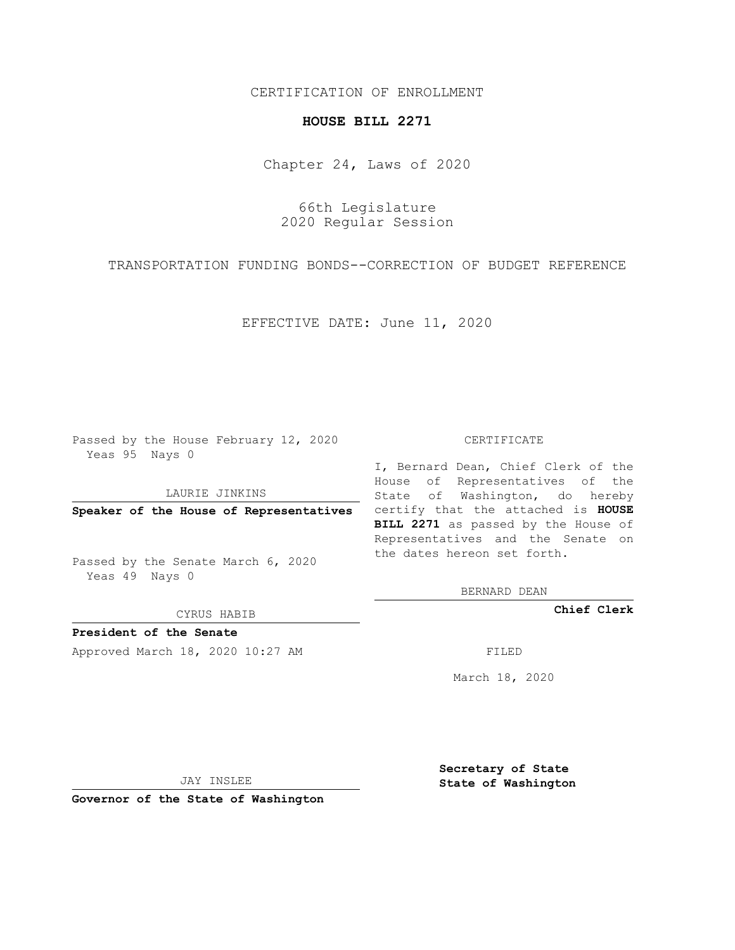## CERTIFICATION OF ENROLLMENT

## **HOUSE BILL 2271**

Chapter 24, Laws of 2020

66th Legislature 2020 Regular Session

TRANSPORTATION FUNDING BONDS--CORRECTION OF BUDGET REFERENCE

EFFECTIVE DATE: June 11, 2020

Passed by the House February 12, 2020 Yeas 95 Nays 0

LAURIE JINKINS

Passed by the Senate March 6, 2020 Yeas 49 Nays 0

CYRUS HABIB

**President of the Senate**

Approved March 18, 2020 10:27 AM FILED

## CERTIFICATE

**Speaker of the House of Representatives** certify that the attached is **HOUSE** I, Bernard Dean, Chief Clerk of the House of Representatives of the State of Washington, do hereby **BILL 2271** as passed by the House of Representatives and the Senate on the dates hereon set forth.

BERNARD DEAN

**Chief Clerk**

March 18, 2020

JAY INSLEE

**Governor of the State of Washington**

**Secretary of State State of Washington**